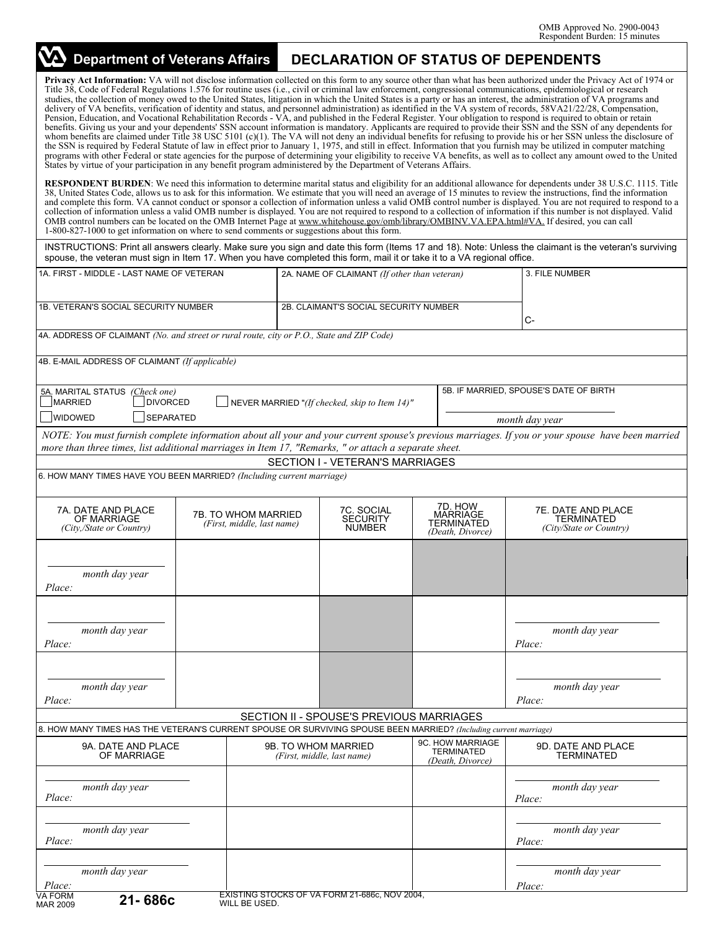| VA Department of Veterans Affairs                                                                                                                                                                                                            |                                           |                                                   |                                                |                                                              | <b>DECLARATION OF STATUS OF DEPENDENTS</b>                                                                                                                                                                                                                                                                                                                                                                                                                                                                                                                                                                                                                                                                                                                                                                                                                                                                                                                                                                                                                                                                                                                                                                                                                                                                                                                                                                                                                                                                                                                           |  |  |  |
|----------------------------------------------------------------------------------------------------------------------------------------------------------------------------------------------------------------------------------------------|-------------------------------------------|---------------------------------------------------|------------------------------------------------|--------------------------------------------------------------|----------------------------------------------------------------------------------------------------------------------------------------------------------------------------------------------------------------------------------------------------------------------------------------------------------------------------------------------------------------------------------------------------------------------------------------------------------------------------------------------------------------------------------------------------------------------------------------------------------------------------------------------------------------------------------------------------------------------------------------------------------------------------------------------------------------------------------------------------------------------------------------------------------------------------------------------------------------------------------------------------------------------------------------------------------------------------------------------------------------------------------------------------------------------------------------------------------------------------------------------------------------------------------------------------------------------------------------------------------------------------------------------------------------------------------------------------------------------------------------------------------------------------------------------------------------------|--|--|--|
| States by virtue of your participation in any benefit program administered by the Department of Veterans Affairs.                                                                                                                            |                                           |                                                   |                                                |                                                              | Privacy Act Information: VA will not disclose information collected on this form to any source other than what has been authorized under the Privacy Act of 1974 or<br>Title 38, Code of Federal Regulations 1.576 for routine uses (i.e., civil or criminal law enforcement, congressional communications, epidemiological or research<br>studies, the collection of money owed to the United States, litigation in which the United States is a party or has an interest, the administration of VA programs and<br>delivery of VA benefits, verification of identity and status, and personnel administration) as identified in the VA system of records, 58VA21/22/28, Compensation,<br>Pension, Education, and Vocational Rehabilitation Records - VA, and published in the Federal Register. Your obligation to respond is required to obtain or retain<br>benefits. Giving us your and your dependents' SSN account information is mandatory. Applicants are required to provide their SSN and the SSN of any dependents for<br>whom benefits are claimed under Title 38 USC 5101 (c)(1). The VA will not deny an individual benefits for refusing to provide his or her SSN unless the disclosure of<br>the SSN is required by Federal Statute of law in effect prior to January 1, 1975, and still in effect. Information that you furnish may be utilized in computer matching<br>programs with other Federal or state agencies for the purpose of determining your eligibility to receive VA benefits, as well as to collect any amount owed to the United |  |  |  |
| OMB control numbers can be located on the OMB Internet Page at www.whitehouse.gov/omb/library/OMBINV.VA.EPA.html#VA. If desired, you can call<br>1-800-827-1000 to get information on where to send comments or suggestions about this form. |                                           |                                                   |                                                |                                                              | <b>RESPONDENT BURDEN:</b> We need this information to determine marital status and eligibility for an additional allowance for dependents under 38 U.S.C. 1115. Title<br>38, United States Code, allows us to ask for this information. We estimate that you will need an average of 15 minutes to review the instructions, find the information<br>and complete this form. VA cannot conduct or sponsor a collection of information unless a valid OMB control number is displayed. You are not required to respond to a<br>collection of information unless a valid OMB number is displayed. You are not required to respond to a collection of information if this number is not displayed. Valid<br>INSTRUCTIONS: Print all answers clearly. Make sure you sign and date this form (Items 17 and 18). Note: Unless the claimant is the veteran's surviving                                                                                                                                                                                                                                                                                                                                                                                                                                                                                                                                                                                                                                                                                                       |  |  |  |
| spouse, the veteran must sign in Item 17. When you have completed this form, mail it or take it to a VA regional office.                                                                                                                     |                                           |                                                   |                                                |                                                              | 3. FILE NUMBER                                                                                                                                                                                                                                                                                                                                                                                                                                                                                                                                                                                                                                                                                                                                                                                                                                                                                                                                                                                                                                                                                                                                                                                                                                                                                                                                                                                                                                                                                                                                                       |  |  |  |
|                                                                                                                                                                                                                                              | 1A. FIRST - MIDDLE - LAST NAME OF VETERAN |                                                   |                                                | 2A. NAME OF CLAIMANT (If other than veteran)                 |                                                                                                                                                                                                                                                                                                                                                                                                                                                                                                                                                                                                                                                                                                                                                                                                                                                                                                                                                                                                                                                                                                                                                                                                                                                                                                                                                                                                                                                                                                                                                                      |  |  |  |
| 1B. VETERAN'S SOCIAL SECURITY NUMBER                                                                                                                                                                                                         | 2B. CLAIMANT'S SOCIAL SECURITY NUMBER     |                                                   | C-                                             |                                                              |                                                                                                                                                                                                                                                                                                                                                                                                                                                                                                                                                                                                                                                                                                                                                                                                                                                                                                                                                                                                                                                                                                                                                                                                                                                                                                                                                                                                                                                                                                                                                                      |  |  |  |
| 4A. ADDRESS OF CLAIMANT (No. and street or rural route, city or P.O., State and ZIP Code)                                                                                                                                                    |                                           |                                                   |                                                |                                                              |                                                                                                                                                                                                                                                                                                                                                                                                                                                                                                                                                                                                                                                                                                                                                                                                                                                                                                                                                                                                                                                                                                                                                                                                                                                                                                                                                                                                                                                                                                                                                                      |  |  |  |
| 4B. E-MAIL ADDRESS OF CLAIMANT (If applicable)                                                                                                                                                                                               |                                           |                                                   |                                                |                                                              |                                                                                                                                                                                                                                                                                                                                                                                                                                                                                                                                                                                                                                                                                                                                                                                                                                                                                                                                                                                                                                                                                                                                                                                                                                                                                                                                                                                                                                                                                                                                                                      |  |  |  |
| 5A. MARITAL STATUS (Check one)<br>MARRIED<br><b>DIVORCED</b><br><b>WIDOWED</b><br><b>SEPARATED</b>                                                                                                                                           |                                           | NEVER MARRIED "(If checked, skip to Item 14)"     | 5B. IF MARRIED, SPOUSE'S DATE OF BIRTH         |                                                              |                                                                                                                                                                                                                                                                                                                                                                                                                                                                                                                                                                                                                                                                                                                                                                                                                                                                                                                                                                                                                                                                                                                                                                                                                                                                                                                                                                                                                                                                                                                                                                      |  |  |  |
| more than three times, list additional marriages in Item 17, "Remarks, " or attach a separate sheet.                                                                                                                                         |                                           |                                                   |                                                |                                                              | month day year<br>NOTE: You must furnish complete information about all your and your current spouse's previous marriages. If you or your spouse have been married                                                                                                                                                                                                                                                                                                                                                                                                                                                                                                                                                                                                                                                                                                                                                                                                                                                                                                                                                                                                                                                                                                                                                                                                                                                                                                                                                                                                   |  |  |  |
|                                                                                                                                                                                                                                              |                                           | SECTION I - VETERAN'S MARRIAGES                   |                                                |                                                              |                                                                                                                                                                                                                                                                                                                                                                                                                                                                                                                                                                                                                                                                                                                                                                                                                                                                                                                                                                                                                                                                                                                                                                                                                                                                                                                                                                                                                                                                                                                                                                      |  |  |  |
| 6. HOW MANY TIMES HAVE YOU BEEN MARRIED? (Including current marriage)                                                                                                                                                                        |                                           |                                                   |                                                |                                                              |                                                                                                                                                                                                                                                                                                                                                                                                                                                                                                                                                                                                                                                                                                                                                                                                                                                                                                                                                                                                                                                                                                                                                                                                                                                                                                                                                                                                                                                                                                                                                                      |  |  |  |
| 7A. DATE AND PLACE<br>7B. TO WHOM MARRIED<br>OF MARRIAGE<br>(First, middle, last name)<br>(City,/State or Country)                                                                                                                           |                                           |                                                   | 7C. SOCIAL<br><b>SECURITY</b><br><b>NUMBER</b> | 7D. HOW<br>MARRIAGE<br><b>TERMINATED</b><br>(Death, Divorce) | 7E. DATE AND PLACE<br>TERMINATED<br>(City/State or Country)                                                                                                                                                                                                                                                                                                                                                                                                                                                                                                                                                                                                                                                                                                                                                                                                                                                                                                                                                                                                                                                                                                                                                                                                                                                                                                                                                                                                                                                                                                          |  |  |  |
| month day year<br>Place:                                                                                                                                                                                                                     |                                           |                                                   |                                                |                                                              |                                                                                                                                                                                                                                                                                                                                                                                                                                                                                                                                                                                                                                                                                                                                                                                                                                                                                                                                                                                                                                                                                                                                                                                                                                                                                                                                                                                                                                                                                                                                                                      |  |  |  |
| month day year<br>Place:                                                                                                                                                                                                                     |                                           |                                                   |                                                |                                                              | month day year<br>Place:                                                                                                                                                                                                                                                                                                                                                                                                                                                                                                                                                                                                                                                                                                                                                                                                                                                                                                                                                                                                                                                                                                                                                                                                                                                                                                                                                                                                                                                                                                                                             |  |  |  |
| month day year<br>Place:                                                                                                                                                                                                                     |                                           |                                                   |                                                |                                                              | month day year<br>Place:                                                                                                                                                                                                                                                                                                                                                                                                                                                                                                                                                                                                                                                                                                                                                                                                                                                                                                                                                                                                                                                                                                                                                                                                                                                                                                                                                                                                                                                                                                                                             |  |  |  |
| 8. HOW MANY TIMES HAS THE VETERAN'S CURRENT SPOUSE OR SURVIVING SPOUSE BEEN MARRIED? (Including current marriage)                                                                                                                            |                                           | SECTION II - SPOUSE'S PREVIOUS MARRIAGES          |                                                |                                                              |                                                                                                                                                                                                                                                                                                                                                                                                                                                                                                                                                                                                                                                                                                                                                                                                                                                                                                                                                                                                                                                                                                                                                                                                                                                                                                                                                                                                                                                                                                                                                                      |  |  |  |
| 9A. DATE AND PLACE<br>OF MARRIAGE                                                                                                                                                                                                            |                                           | 9B. TO WHOM MARRIED<br>(First, middle, last name) |                                                | 9C. HOW MARRIAGE<br><b>TERMINATED</b><br>(Death, Divorce)    | 9D. DATE AND PLACE<br><b>TERMINATED</b>                                                                                                                                                                                                                                                                                                                                                                                                                                                                                                                                                                                                                                                                                                                                                                                                                                                                                                                                                                                                                                                                                                                                                                                                                                                                                                                                                                                                                                                                                                                              |  |  |  |
| month day year<br>Place:                                                                                                                                                                                                                     |                                           |                                                   |                                                |                                                              | month day year<br>Place:                                                                                                                                                                                                                                                                                                                                                                                                                                                                                                                                                                                                                                                                                                                                                                                                                                                                                                                                                                                                                                                                                                                                                                                                                                                                                                                                                                                                                                                                                                                                             |  |  |  |
| month day year<br>Place:                                                                                                                                                                                                                     |                                           |                                                   |                                                |                                                              | month day year<br>Place:                                                                                                                                                                                                                                                                                                                                                                                                                                                                                                                                                                                                                                                                                                                                                                                                                                                                                                                                                                                                                                                                                                                                                                                                                                                                                                                                                                                                                                                                                                                                             |  |  |  |
| month day year<br>Place:<br><b>VA FORM</b>                                                                                                                                                                                                   |                                           | EXISTING STOCKS OF VA FORM 21-686c, NOV 2004,     |                                                |                                                              | month day year<br>Place:                                                                                                                                                                                                                                                                                                                                                                                                                                                                                                                                                                                                                                                                                                                                                                                                                                                                                                                                                                                                                                                                                                                                                                                                                                                                                                                                                                                                                                                                                                                                             |  |  |  |
| 21-686c<br><b>MAR 2009</b>                                                                                                                                                                                                                   | WILL BE USED.                             |                                                   |                                                |                                                              |                                                                                                                                                                                                                                                                                                                                                                                                                                                                                                                                                                                                                                                                                                                                                                                                                                                                                                                                                                                                                                                                                                                                                                                                                                                                                                                                                                                                                                                                                                                                                                      |  |  |  |